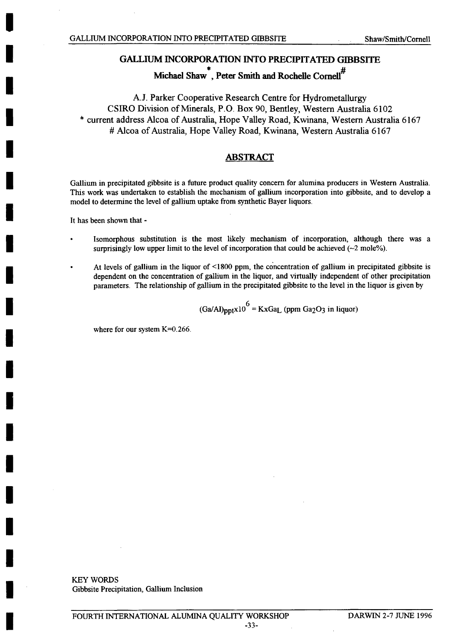**Michael Shaw**, Peter Smith and Rochelle Cornell<sup>#</sup>

**A.J.** Parker Cooperative Research Centre for Hydrometallurgy CSIRO Division of Minerals, P.O. Box **90,** Bentley, Western Australia **6102** \*current address Alcoa of Australia, Hope Valley Road, Kwinana, Western Australia **6167** #Alcoa of Australia, Hope Valley Road, Kwinana, Western Australia **6167**

# **ABSTRACT**

Gallium in precipitated gibbsite is a future product quality concern for alumina producers in Western Australia. This work was undertaken to establish the mechanism of gallium incorporation into gibbsite, and to develop a model to determine the level of gallium uptake from synthetic Bayer liquors.

It has been shown that **-**

- Isomorphous substitution is the most likely mechanism of incorporation, although there was a surprisingly low upper limit to the level of incorporation that could be achieved  $(-2 \text{ mole}\%)$ .
- \* At levels of gallium in the liquor of **<1800** ppm, the concentration of gallium in precipitated gibbsite is dependent on the concentration of gallium in the liquor, and virtually independent of other precipitation parameters. The relationship of gallium in the precipitated gibbsite to the level in the liquor is given **by**

$$
(Ga/Al)_{ppt} \times 10^6
$$
 = KxGa<sub>L</sub> (ppm Ga<sub>2</sub>O<sub>3</sub> in liquor)

where for our system K=0.266.

KEY WORDS Gibbsite Precipitation, Gallium Inclusion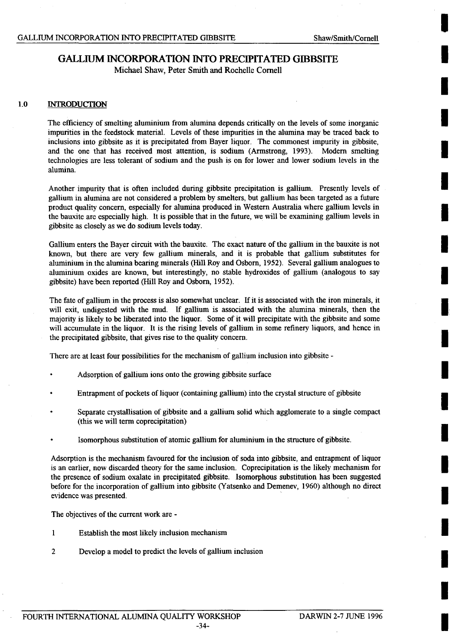# **GALLIUM INCORPORATION INTO PRECIPITATED GIBBSITE**

Michael Shaw, Peter Smith and Rochelle Cornell

# 1.0 **INTRODUCTION**

The efficiency of smelting aluminium from alumina depends critically on the levels of some inorganic impurities in the feedstock material. Levels of these impurities in the alumina may be traced back to inclusions into gibbsite as it is precipitated from Bayer liquor. The commonest impurity in gibbsite, and the one that has received most attention, is sodium (Armstrong, 1993). Modern smelting technologies are less tolerant of sodium and the push is on for lower and lower sodium levels in the alumina.

Another impurity that is often included during gibbsite precipitation is gallium. Presently levels of gallium in alumina are not considered a problem **by** smelters, but gallium has been targeted as a future product quality concern, especially for alumina produced in Western Australia where gallium levels in the bauxite are especially high. It is possible that in the future, we will be examining gallium levels in gibbsite as closely as we do sodium levels today.

Gallium enters the Bayer circuit with the bauxite. The exact nature of the gallium in the bauxite is not known, but there are very few gallium minerals, and it is probable that gallium substitutes for aluminium in the alumina bearing minerals (Hill Roy and Osborn, **1952).** Several gallium analogues to aluminium. oxides are known, but interestingly, no stable hydroxides of gallium (analogous to say gibbsite) have been reported (Hill Roy and Osborn, *1952).*

The fate of gallium in the process is also somewhat unclear, **If** it is associated with the iron minerals, it will exit, undigested with the mud. If gallium is associated with the alumina minerals, then the majority is likely to be liberated into the liquor. Some of it will precipitate with the gibbsite and some will accumulate in the liquor. It is the rising levels of gallium in some refinery liquors, and hence in the precipitated gibbsite, that gives rise to the quality concern.

There are at least four possibilities for the mechanism of gallium inclusion into gibbsite **-**

- Adsorption of gallium ions onto the growing gibbsite surface
- Entrapment of pockets of liquor (containing gallium) into the crystal structure of gibbsite
- Separate crystallisation of gibbsite and a gallium solid which agglomerate to a single compact (this we will term coprecipitation)
- Isomorphous substitution of atomic gallium for aluminium in the structure of gibbsite.

Adsorption is the mechanism favoured for the inclusion of soda into gibbsite, and entrapment of liquor is an earlier, now discarded theory for the same inclusion. Coprecipitation is the likely mechanism for the presence of sodium oxalate in precipitated gibbsite. Isomorphous substitution has been suggested before for the incorporation of gallium into gibbsite (Yatsenko and Demenev, **1960)** although no direct evidence was presented.

The objectives of the current work are **-**

- **1 Establish the most likely inclusion mechanism**
- 2 Develop a model to predict the levels of gallium inclusion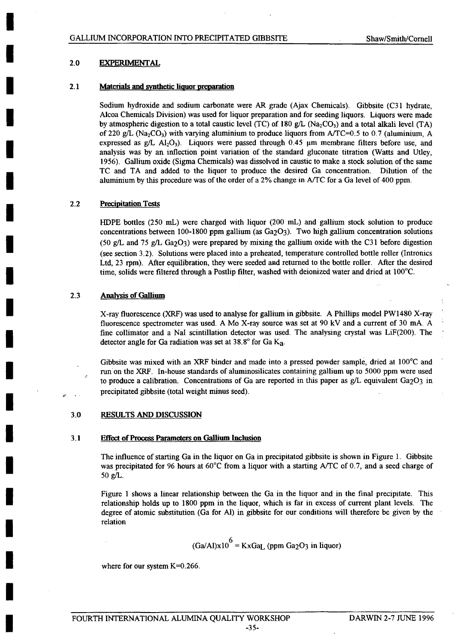### **2.0 EXPERIMENTAL**

#### **2.1** Materials and synthetic liquor preparation

Sodium hydroxide and sodium carbonate were AR grade (Ajax Chemicals). Gibbsite *(C31 hydrate,* Alcoa Chemicals Division) was used for liquor preparation and for seeding liquors. Liquors were made by atmospheric digestion to a total caustic level  $(TC)$  of 180 g/L  $(Na_2CO_3)$  and a total alkali level  $(TA)$ of 220 **g/L** (Na 2CO3 ) with varying alumnumi to produce liquors from **A/TC=0. 5** to **0. 7** (aluminium, **A** expressed as g/L AI<sub>2</sub>O<sub>3</sub>). Liquors were passed through 0.45  $\mu$ m membrane filters before use, and analysis was **by** an inflection point variation of the standard gluconate titration (Watts and Utley, **1956).** Gallium oxide (Sigma Chemicals) was dissolved in caustic to make a stock solution of the same **TC** and **TA** and added to the liquor to produce the desired Ga concentration. Dilution of the aluminium **by** this procedure was of the order of a 2% change in **A/TC** for a Ga level of 400 ppm.

### 2.2 Precipitation Tests

HDPE bottles **(250** mL) were charged with liquor (200 mL) and gallium stock solution to produce concentrations between 100-1800 ppm gallium (as Ga<sub>2</sub>O<sub>3</sub>). Two high gallium concentration solutions **(50 g/L** and **75 g/L** Ga2O3) were prepared **by** mixing the gallium oxide with the **C3 1** before digestion (see section **3.2).** Solutions were placed into a preheated, temperature controlled bottle roller (Intronics Ltd, **23** rpm). After equilibration, they were seeded and returned to the bottle roller. After the desired time, solids were filtered through a Postlip filter, washed with deionized water and dried at **100'C.**

#### **2.3** Analysis of Gallium

X-ray fluorescence (XRF) was used to analyse for gallium in gibbsite. **A** Phillips model PW1480 X-ray fluorescence spectrometer was used. **A** Mo X-ray source was set at **90 kV** and a current of **30** mA. **A** fine collimator and a Nal scintillation detector was used. The analysing crystal was LiF(200). The detector angle for Ga radiation was set at 38.8° for Ga K<sub>a</sub>.

Gibbsite was mixed with an XRF binder and made into a pressed powder sample, dried at 100<sup>o</sup>C and run on the XRF. In-house standards of aluminosilicates containing gallium up to **5000** ppm were used to produce a calibration. Concentrations of Ga are reported in this paper as  $g/L$  equivalent Ga<sub>2</sub>O<sub>3</sub> in precipitated gibbsite (total weight minus seed).

### **3.0 RESULTS AND DISCUSSION**

#### **3.1 Effect of Process Parameters on Gallium Inclusion**

The influence of starting Ga in the liquor on Ga in precipitated gibbsite is shown in Figure **1.** Gibbsite was precipitated for **96** hours at **60'C** from a liquor with a starting **AITC** of **0.7,** and a seed charge of **50 g/L.**

Figure **I** shows a linear relationship between the Ga in the liquor and in the final precipitate. This relationship holds up to **1800** ppm in the liquor, which is far in excess of current plant levels. The degree of atomic substitution (Ga for **Al)** in gibbsite for our conditions will therefore be given **by** the relation

$$
(Ga/Al)x106 = KxGaL (ppm Ga2O3 in liquor)
$$

where for our system K=0.266.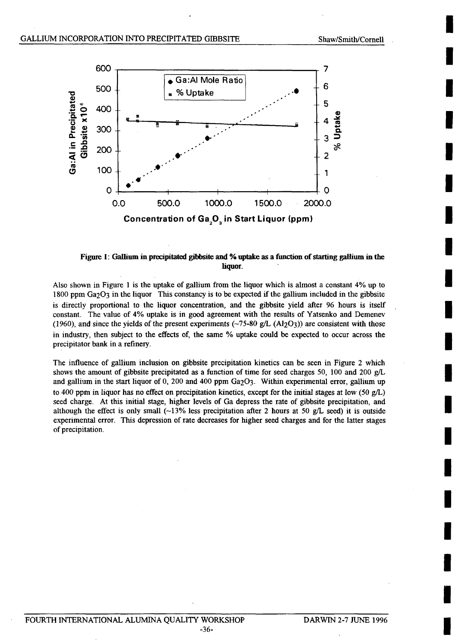**I**

**I**

**I**

**I**

**I**

**I**

**I**

**I**

**I**

**I**

**I**

**I**

**I**

**I**

**I**

**I**

**I**

**I**

**I**

**I**



# Figure **1: Gallium** in **precipitated gibfbsite and % uptake as a function of starting gallium in the** liquor.

Also shown in Figure 1 is the uptake of gallium from the liquor which is almost a constant 4% up to **1800** ppm Ga2O3 in the liquor This constancy is to **be** expected if the gallium included in the gibbsite is directly proportional to the liquor concentration, and the gibbsite yield after **96** hours is itself constant. The value of 4% uptake is in good agreement with the results of Yatsenko and Demenev (1960), and since the yields of the present experiments  $(-75-80 \text{ g/L} (A12O3))$  are consistent with those in industry, then subject to the effects of, the same **%** uptake could be expected to occur across the precipitator bank in a refinery.

The influence of gallium inclusion on gibbsite precipitation kinetics can be seen in Figure 2 which shows the amount of gibbsite precipitated as a function of time for seed charges **50, 100** and 200 **g/L** and gallium in the start liquor of 0, 200 and 400 ppm Ga<sub>2</sub>O<sub>3</sub>. Within experimental error, gallium up to 400 ppm in liquor has no effect on precipitation kinetics, except for the initial stages at low *(50* **g/L)** seed charge. At this initial stage, higher levels of Ga depress the rate of gibbsite precipitation, and although the effect is only small **(-13%** less precipitation after 2 hours at **50 g/L** seed) it is outside experimental error. This depression of rate decreases for higher seed charges and for the latter stages of precipitation.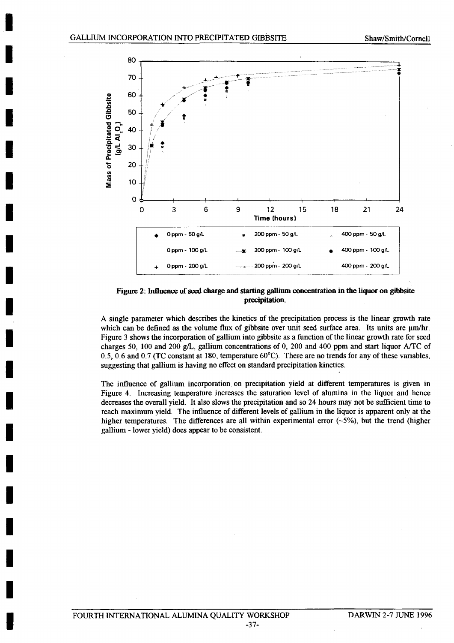

# **Figure 2: Influence of seed charge and starting gallium concentration in the liquor on gibbsite** precipitation.

**A** single parameter which describes the kinetics of the precipitation process is the linear growth rate which can be defined as the volume flux of gibbsite over unit seed surface area. Its units are  $\mu$ m/hr. Figure 3 shows the incorporation of gallium into gibbsite as a function of the linear growth rate for seed charges *50,* **100** and 200 **g/L,** gallium concentrations of **0,** 200 and 400 ppm and start liquor **A/TC** of *0.5,* **0.6** and **0.7 (TC** constant at **180,** temperature **60'C).** There are no trends for any of these variables, suggesting that gallium is having no effect on standard precipitation kinetics.

The influence of gallium incorporation. on precipitation yield at different temperatures is given in Figure 4. Increasing temperature increases the saturation level of alumina in the liquor and hence decreases the overall yield. It also slows the precipitation and so 24 hours may not be sufficient time to reach maximum yield. The influence of different levels of gallium in the liquor is apparent only at the higher temperatures. The differences are all within experimental error  $(-5\%)$ , but the trend (higher gallium **-** lower yield) does appear to be consistent.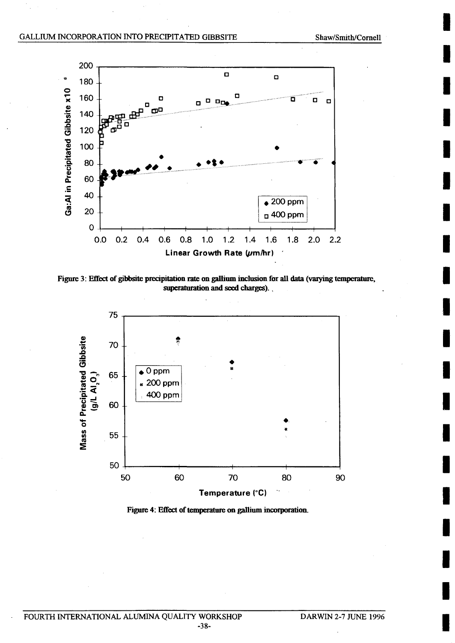**I**

**I**

**I**

**I**

**I**

**I**

**I**

**I**

**I**

**I**

**I**

**I**

**I**

**I**

**I**

**I**

**I**

**I**

**I**

**I**



Figure 3: Effect of gibbsite precipitation rate on gallium inclusion for all data (varying temperature, superaturation and seed charges).



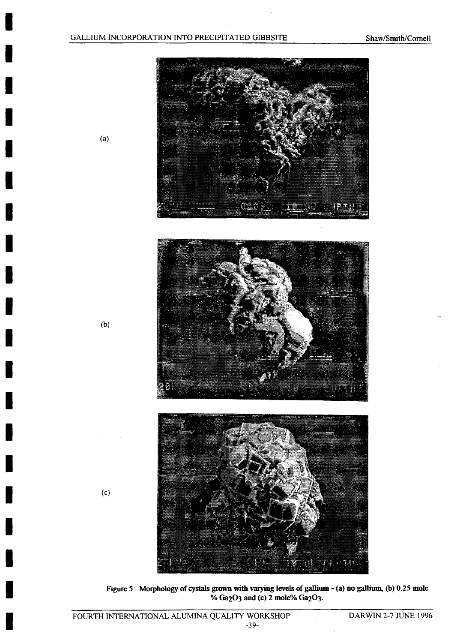

Figure **5:** Morphology of cystals **grown with** varyig levels of gallium **-** (a) no gallium, **(b) 0.25** mole % Ga<sub>2</sub>O<sub>3</sub> and (c) 2 mole% Ga<sub>2</sub>O<sub>3</sub>.

(a)

 $\blacksquare$ 

I

**(b)**

**(c)**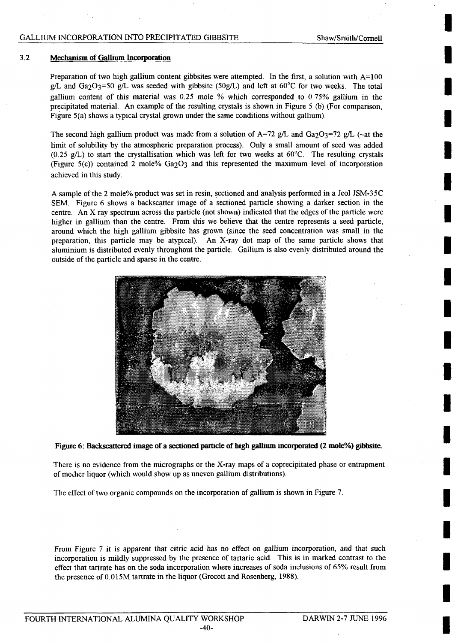# **GALLIUM INCORPORATION INTO PRECIPITATED GIBBSITE**

**I**

**I**

**I**

**I**

**I**

**I**

**I**

**I**

#### **3.2** Mechanism of Gallium Incorporation

Preparation of two high gallium content gibbsites were attempted. In the first, a solution with **A=100 g/L** and Ga2O3=50 **g/L** was seeded with gibbsite **(50g/L)** and left at **60'C** for two weeks. The total gallium content of this material was **0.25** mole **%** which corresponded to **0.75%** gallium in the precipitated material. An example of the resulting crystals is shown in Figure **5 (b)** (For comparison, Figure  $5(a)$  shows a typical crystal grown under the same conditions without gallium).

The second high gallium product was made from a solution of  $A=72$  g/L and  $Ga_2O_3=72$  g/L ( $\sim$ at the limit of solubility **by** the atmospheric preparation process). Only a small amount of seed was added **(0.25 g/L)** to start the crystallisation which was left for two weeks at **60'C.** The resulting crystals (Figure 5(c)) contained 2 mole% Ga2O3 and this represented the maximum level of incorporation achieved in this study.

**A** sample of the 2 mole% product was set in resin, sectioned and analysis performed in a Jeol **JSM-3 5 C SEM.** Figure **6** shows a backscatter image of a sectioned particle showing a darker section in the centre. An X ray spectrum across the particle (not shown) indicated that the edges of the particle were higher in gallium than the centre. From this we believe that the centre represents a seed particle, around which the high gallium gibbsite has grown (since the seed concentration was small in the preparation, this particle may be atypical). An X-ray dot map of the same particle shows that aluminium is distributed evenly throughout the particle. Gallium is also evenly distributed around the outside of the particle and sparse in the centre.



**Figure 6: Backscattered image of a sectioned particle of high gallium incorporated (2 mole%) gibbsite.**

There is no evidence from the micrographs or the X-ray maps of a coprecipitated phase or entrapment of mother liquor (which would show up as uneven gallium distributions).

The effect of two organic compounds on the incorporation of gallium is shown in Figure **7.**

From Figure **7** it is apparent that citric acid has no effect on gallium incorporation, and that such incorporation is mildly suppressed **by** the presence of tartaric acid. This is in marked contrast to the effect that tartrate has on the soda incorporation where increases of soda inclusions of **65%** result from the presence of 0.015M tartrate in the liquor (Grocott and Rosenberg, 1988).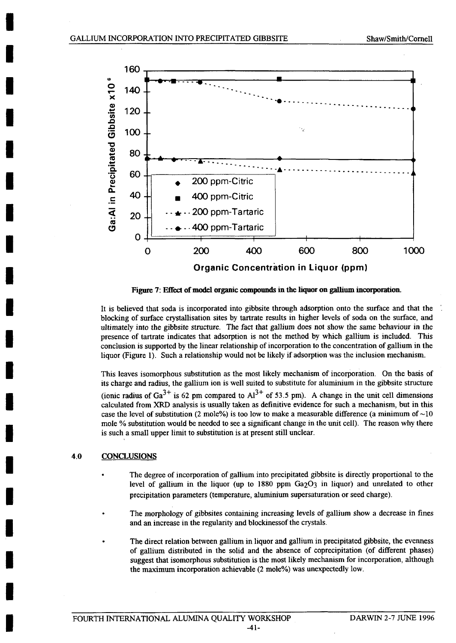

Figure 7: Effect of model organic compounds in the liquor on gallium incorporation.

It is believed that soda is incorporated into gibbsite through adsorption onto the surface and that the blocking of surface crystallisation sites **by** tartrate results in higher levels of soda on the surface, and ultimately into the gibbsite structure. The fact that gallium does not show the same behaviour in the presence of tartrate indicates that adsorption is not the method **by** which gallium is included. This conclusion is supported **by** the linear relationship of incorporation to the concentration of gallium in the liquor (Figure **1).** Such a relationship would not be likely if adsorption was the inclusion mechanism.

This leaves isomorphous substitution as the most likely mechanism of incorporation. On the basis of its charge and radius, the gallium ion is well suited to substitute for aluminium in the gibbsite structure (ionic radius of  $Ga^{3+}$  is 62 pm compared to  $Al^{3+}$  of 53.5 pm). A change in the unit cell dimensions calculated from XRD analysis is usually taken as definitive evidence for such a mechanism, but in this case the level of substitution (2 mole%) is too low to make a measurable difference (a minimum of  $\sim 10$ mole **%** substitution would be needed to see a significant change in the unit cell). The reason why there is such a small upper limit to substitution is at present still unclear.

# 4.0 **CONCLUSIONS**

- The degree of incorporation of gallium into precipitated gibbsite is directly proportional to the level of gallium in the liquor (up to **1880** ppm Ga2O3 in liquor) and unrelated to other precipitation parameters (temperature, aluminium supersaturation or seed charge).
- The morphology of gibbsites containing increasing levels of gallium show a decrease in fines and an increase in the regularity and blockinessof the crystals.
- The direct relation between gallium in liquor and gallium in precipitated gibbsite, the evenness of gallium distributed in the solid and the absence of coprecipitation (of different phases) suggest that isomorphous substitution is the most likely mechanism for incorporation, although the maximum incorporation achievable (2 mole%) was unexpectedly low.